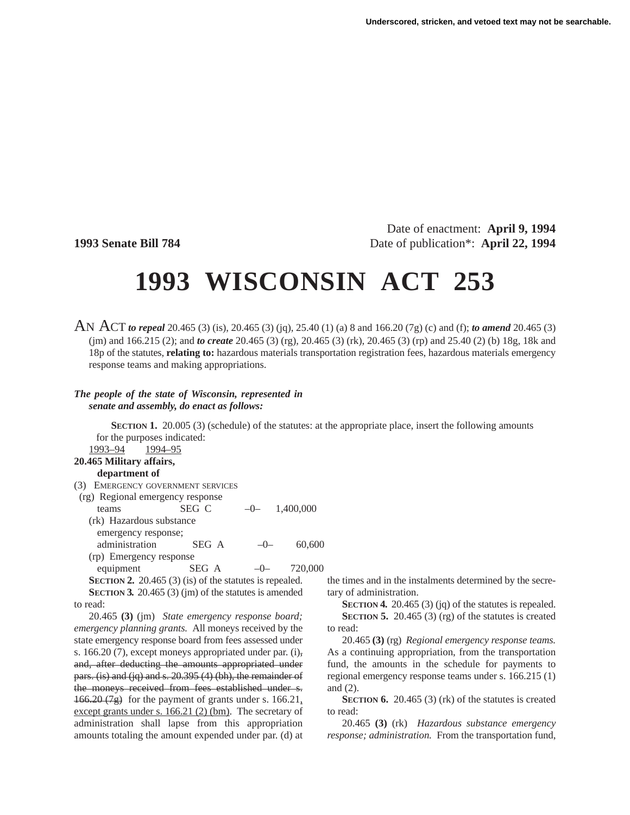Date of enactment: **April 9, 1994 1993 Senate Bill 784** Date of publication<sup>\*</sup>: **April 22, 1994** 

## **1993 WISCONSIN ACT 253**

AN ACT *to repeal* 20.465 (3) (is), 20.465 (3) (jq), 25.40 (1) (a) 8 and 166.20 (7g) (c) and (f); *to amend* 20.465 (3) (jm) and 166.215 (2); and *to create* 20.465 (3) (rg), 20.465 (3) (rk), 20.465 (3) (rp) and 25.40 (2) (b) 18g, 18k and 18p of the statutes, **relating to:** hazardous materials transportation registration fees, hazardous materials emergency response teams and making appropriations.

## *The people of the state of Wisconsin, represented in senate and assembly, do enact as follows:*

**SECTION 1.** 20.005 (3) (schedule) of the statutes: at the appropriate place, insert the following amounts for the purposes indicated:

| 1993–94<br>1994–95                                        |       |       |           |
|-----------------------------------------------------------|-------|-------|-----------|
| 20.465 Military affairs,                                  |       |       |           |
| department of                                             |       |       |           |
| (3) EMERGENCY GOVERNMENT SERVICES                         |       |       |           |
| (rg) Regional emergency response                          |       |       |           |
| teams                                                     | SEG C | $-1$  | 1,400,000 |
| (rk) Hazardous substance                                  |       |       |           |
| emergency response;                                       |       |       |           |
| administration                                            | SEG A | $-()$ | 60,600    |
| (rp) Emergency response                                   |       |       |           |
| equipment                                                 | SEG A |       | 720,000   |
| SECTION 2. 20.465 $(3)$ (is) of the statutes is repealed. |       |       |           |
| SECTION 3. 20.465 $(3)$ (jm) of the statutes is amended   |       |       |           |
| to read:                                                  |       |       |           |

20.465 **(3)** (jm) *State emergency response board; emergency planning grants.* All moneys received by the state emergency response board from fees assessed under s. 166.20 (7), except moneys appropriated under par.  $(i)$ , and, after deducting the amounts appropriated under pars. (is) and (jq) and s. 20.395 (4) (bh), the remainder of the moneys received from fees established under s.  $166.20(7g)$  for the payment of grants under s. 166.21, except grants under s. 166.21 (2) (bm). The secretary of administration shall lapse from this appropriation amounts totaling the amount expended under par. (d) at the times and in the instalments determined by the secretary of administration.

**SECTION 4.** 20.465 (3) (jq) of the statutes is repealed. **SECTION 5.** 20.465 (3) (rg) of the statutes is created to read:

20.465 **(3)** (rg) *Regional emergency response teams.* As a continuing appropriation, from the transportation fund, the amounts in the schedule for payments to regional emergency response teams under s. 166.215 (1) and (2).

**SECTION 6.** 20.465 (3) (rk) of the statutes is created to read:

20.465 **(3)** (rk) *Hazardous substance emergency response; administration.* From the transportation fund,